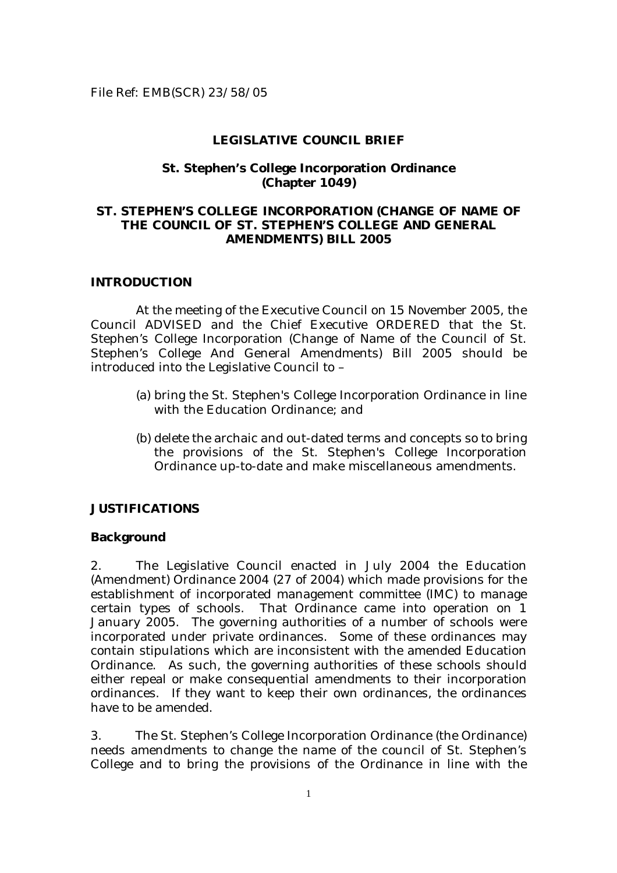#### **LEGISLATIVE COUNCIL BRIEF**

#### **St. Stephen's College Incorporation Ordinance (Chapter 1049)**

### **ST. STEPHEN'S COLLEGE INCORPORATION (CHANGE OF NAME OF THE COUNCIL OF ST. STEPHEN'S COLLEGE AND GENERAL AMENDMENTS) BILL 2005**

#### **INTRODUCTION**

At the meeting of the Executive Council on 15 November 2005, the Council ADVISED and the Chief Executive ORDERED that the St. Stephen's College Incorporation (Change of Name of the Council of St. Stephen's College And General Amendments) Bill 2005 should be introduced into the Legislative Council to –

- (a) bring the St. Stephen's College Incorporation Ordinance in line with the Education Ordinance; and
- (b) delete the archaic and out-dated terms and concepts so to bring the provisions of the St. Stephen's College Incorporation Ordinance up-to-date and make miscellaneous amendments.

#### **JUSTIFICATIONS**

#### **Background**

2. The Legislative Council enacted in July 2004 the Education (Amendment) Ordinance 2004 (27 of 2004) which made provisions for the establishment of incorporated management committee (IMC) to manage certain types of schools. That Ordinance came into operation on 1 January 2005. The governing authorities of a number of schools were incorporated under private ordinances. Some of these ordinances may contain stipulations which are inconsistent with the amended Education Ordinance. As such, the governing authorities of these schools should either repeal or make consequential amendments to their incorporation ordinances. If they want to keep their own ordinances, the ordinances have to be amended.

3. The St. Stephen's College Incorporation Ordinance (the Ordinance) needs amendments to change the name of the council of St. Stephen's College and to bring the provisions of the Ordinance in line with the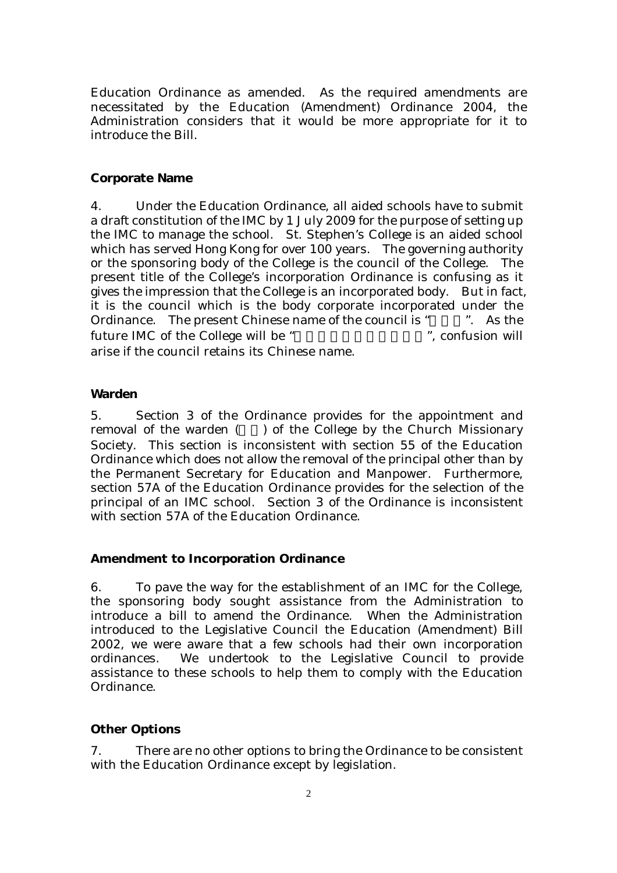Education Ordinance as amended. As the required amendments are necessitated by the Education (Amendment) Ordinance 2004, the Administration considers that it would be more appropriate for it to introduce the Bill.

#### **Corporate Name**

4. Under the Education Ordinance, all aided schools have to submit a draft constitution of the IMC by 1 July 2009 for the purpose of setting up the IMC to manage the school. St. Stephen's College is an aided school which has served Hong Kong for over 100 years. The governing authority or the sponsoring body of the College is the council of the College. The present title of the College's incorporation Ordinance is confusing as it gives the impression that the College is an incorporated body. But in fact, it is the council which is the body corporate incorporated under the Ordinance. The present Chinese name of the council is " $\therefore$  As the future IMC of the College will be " The ", confusion will arise if the council retains its Chinese name.

#### **Warden**

5. Section 3 of the Ordinance provides for the appointment and removal of the warden  $($ ) of the College by the Church Missionary Society. This section is inconsistent with section 55 of the Education Ordinance which does not allow the removal of the principal other than by the Permanent Secretary for Education and Manpower. Furthermore, section 57A of the Education Ordinance provides for the selection of the principal of an IMC school. Section 3 of the Ordinance is inconsistent with section 57A of the Education Ordinance.

#### **Amendment to Incorporation Ordinance**

6. To pave the way for the establishment of an IMC for the College, the sponsoring body sought assistance from the Administration to introduce a bill to amend the Ordinance. When the Administration introduced to the Legislative Council the Education (Amendment) Bill 2002, we were aware that a few schools had their own incorporation ordinances. We undertook to the Legislative Council to provide assistance to these schools to help them to comply with the Education Ordinance.

#### **Other Options**

7. There are no other options to bring the Ordinance to be consistent with the Education Ordinance except by legislation.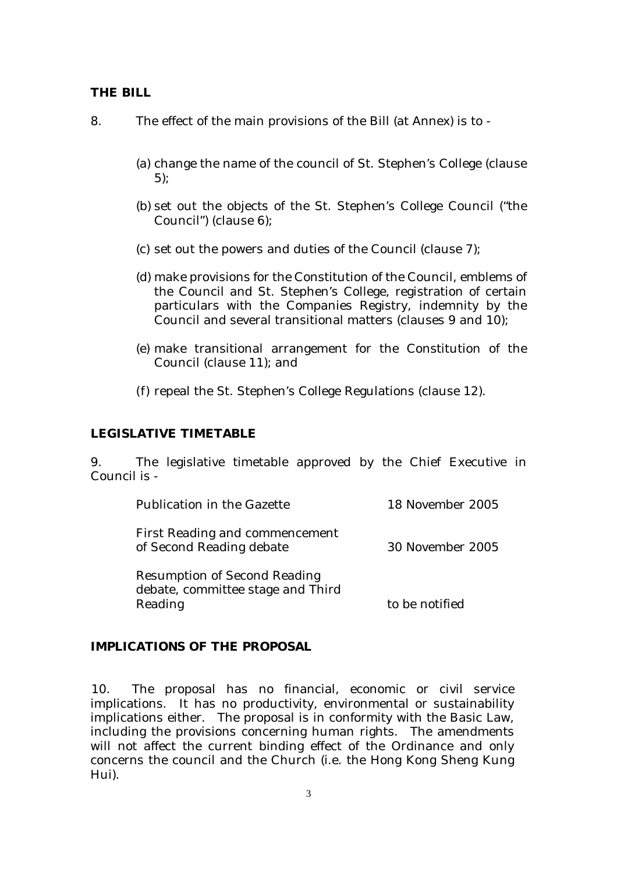### **THE BILL**

- 8. The effect of the main provisions of the Bill (at Annex) is to
	- (a) change the name of the council of St. Stephen's College (clause 5);
	- (b) set out the objects of the St. Stephen's College Council ("the Council") (clause 6);
	- (c) set out the powers and duties of the Council (clause 7);
	- (d) make provisions for the Constitution of the Council, emblems of the Council and St. Stephen's College, registration of certain particulars with the Companies Registry, indemnity by the Council and several transitional matters (clauses 9 and 10);
	- (e) make transitional arrangement for the Constitution of the Council (clause 11); and
	- (f) repeal the St. Stephen's College Regulations (clause 12).

#### **LEGISLATIVE TIMETABLE**

9. The legislative timetable approved by the Chief Executive in Council is -

| Publication in the Gazette                                                          | 18 November 2005 |
|-------------------------------------------------------------------------------------|------------------|
| <b>First Reading and commencement</b><br>of Second Reading debate                   | 30 November 2005 |
| <b>Resumption of Second Reading</b><br>debate, committee stage and Third<br>Reading | to be notified   |

### **IMPLICATIONS OF THE PROPOSAL**

10. The proposal has no financial, economic or civil service implications. It has no productivity, environmental or sustainability implications either. The proposal is in conformity with the Basic Law, including the provisions concerning human rights. The amendments will not affect the current binding effect of the Ordinance and only concerns the council and the Church (i.e. the Hong Kong Sheng Kung Hui).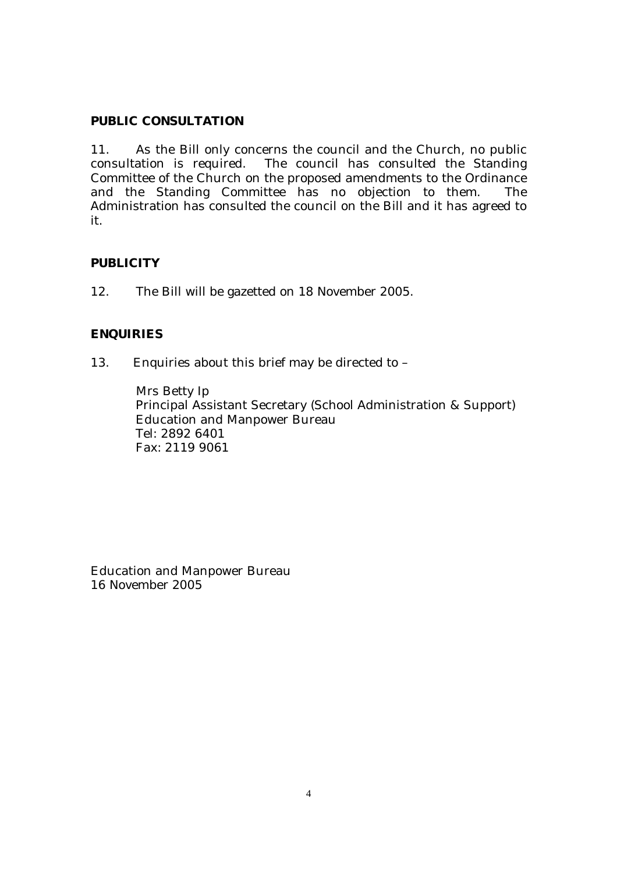### **PUBLIC CONSULTATION**

11. As the Bill only concerns the council and the Church, no public consultation is required. The council has consulted the Standing Committee of the Church on the proposed amendments to the Ordinance and the Standing Committee has no objection to them. The Administration has consulted the council on the Bill and it has agreed to it.

### **PUBLICITY**

12. The Bill will be gazetted on 18 November 2005.

### **ENQUIRIES**

13. Enquiries about this brief may be directed to –

Mrs Betty Ip Principal Assistant Secretary (School Administration & Support) Education and Manpower Bureau Tel: 2892 6401 Fax: 2119 9061

Education and Manpower Bureau 16 November 2005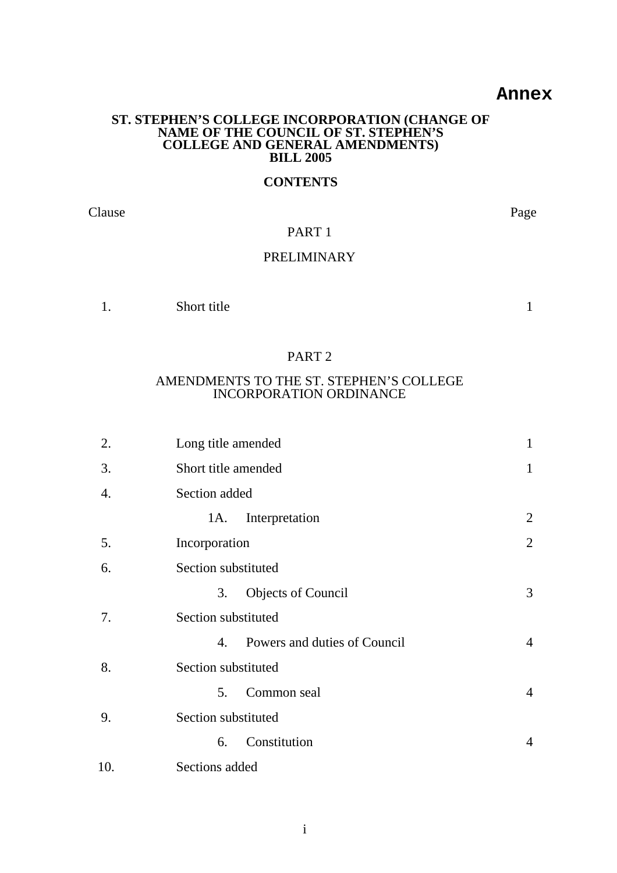### **Annex**

#### **ST. STEPHEN'S COLLEGE INCORPORATION (CHANGE OF NAME OF THE COUNCIL OF ST. STEPHEN'S COLLEGE AND GENERAL AMENDMENTS) BILL 2005**

### **CONTENTS**

Clause Page

### PART 1

### PRELIMINARY

| . . | Short title |  |  |
|-----|-------------|--|--|
|-----|-------------|--|--|

#### PART 2

### AMENDMENTS TO THE ST. STEPHEN'S COLLEGE INCORPORATION ORDINANCE

| 2.  | Long title amended                 |                |  |
|-----|------------------------------------|----------------|--|
| 3.  | Short title amended                | $\mathbf{1}$   |  |
| 4.  | Section added                      |                |  |
|     | Interpretation<br>1A.              | 2              |  |
| 5.  | Incorporation                      | $\overline{2}$ |  |
| 6.  | Section substituted                |                |  |
|     | <b>Objects of Council</b><br>3.    | 3              |  |
| 7.  | Section substituted                |                |  |
|     | Powers and duties of Council<br>4. | $\overline{4}$ |  |
| 8.  | Section substituted                |                |  |
|     | Common seal<br>5.                  | $\overline{4}$ |  |
| 9.  | Section substituted                |                |  |
|     | Constitution<br>6.                 | $\overline{4}$ |  |
| 10. | Sections added                     |                |  |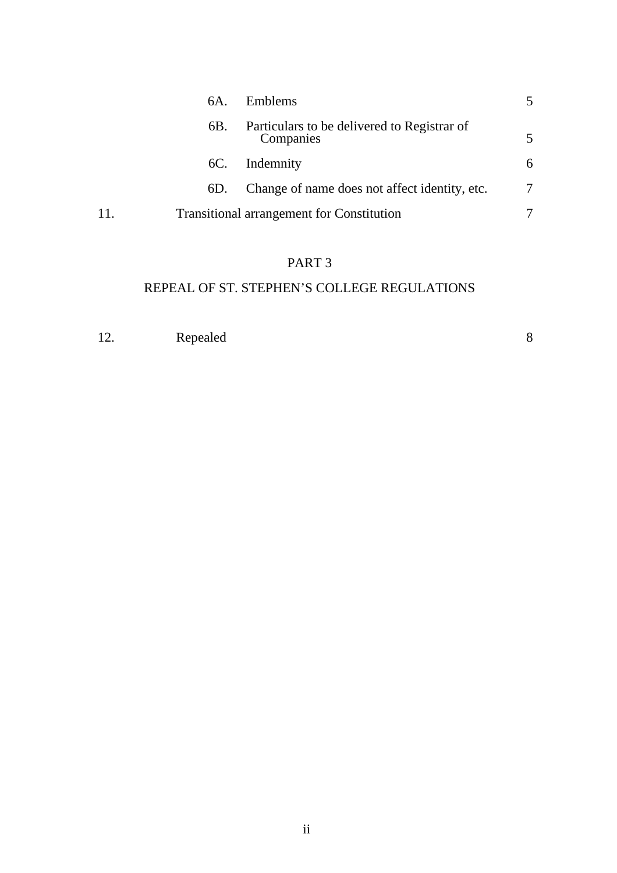|     | 6A. | Emblems                                                  |   |
|-----|-----|----------------------------------------------------------|---|
|     | 6B. | Particulars to be delivered to Registrar of<br>Companies |   |
|     | 6C. | Indemnity                                                | 6 |
|     | 6D. | Change of name does not affect identity, etc.            |   |
| 11. |     | <b>Transitional arrangement for Constitution</b>         |   |

# PART 3

# REPEAL OF ST. STEPHEN'S COLLEGE REGULATIONS

| 12. | Repealed |  |
|-----|----------|--|
|     |          |  |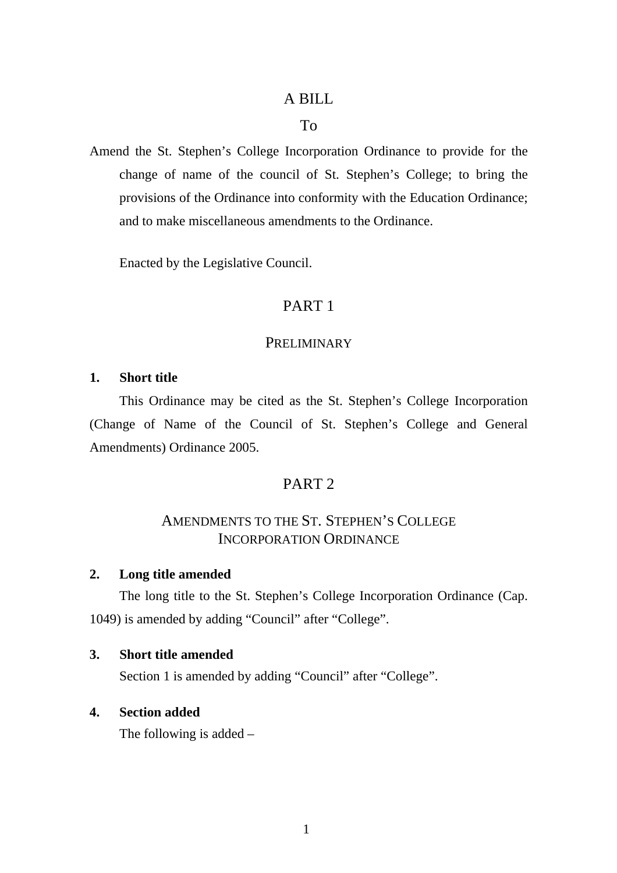## A BILL

### To

Amend the St. Stephen's College Incorporation Ordinance to provide for the change of name of the council of St. Stephen's College; to bring the provisions of the Ordinance into conformity with the Education Ordinance; and to make miscellaneous amendments to the Ordinance.

Enacted by the Legislative Council.

## PART 1

### **PRELIMINARY**

### **1. Short title**

This Ordinance may be cited as the St. Stephen's College Incorporation (Change of Name of the Council of St. Stephen's College and General Amendments) Ordinance 2005.

## PART 2

## AMENDMENTS TO THE ST. STEPHEN'S COLLEGE INCORPORATION ORDINANCE

### **2. Long title amended**

The long title to the St. Stephen's College Incorporation Ordinance (Cap. 1049) is amended by adding "Council" after "College".

### **3. Short title amended**

Section 1 is amended by adding "Council" after "College".

## **4. Section added**

The following is added –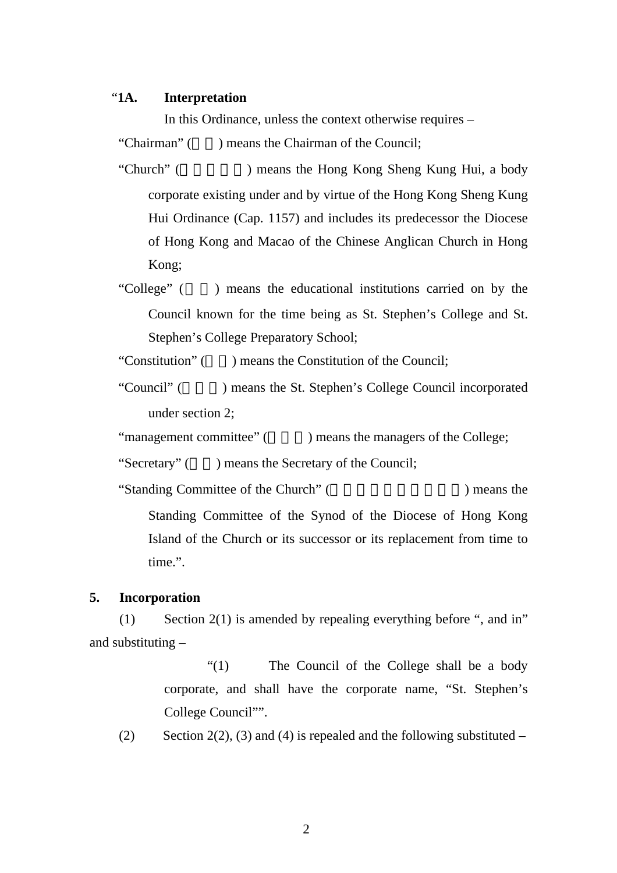### "**1A. Interpretation**

In this Ordinance, unless the context otherwise requires –

"Chairman"  $($   $)$  means the Chairman of the Council:

- "Church" ( The Preament of Hong Kong Sheng Kung Hui, a body is not been as the Hong Kong Sheng Kung Hui, a body corporate existing under and by virtue of the Hong Kong Sheng Kung Hui Ordinance (Cap. 1157) and includes its predecessor the Diocese of Hong Kong and Macao of the Chinese Anglican Church in Hong Kong;
- "College" () means the educational institutions carried on by the Council known for the time being as St. Stephen's College and St. Stephen's College Preparatory School;

"Constitution"  $($ ) means the Constitution of the Council;

"Council" () means the St. Stephen's College Council incorporated under section 2;

"management committee" (Completed by means the managers of the College;

"Secretary"  $($   $)$  means the Secretary of the Council:

"Standing Committee of the Church" (Standing Committee of the Church" (Standing Press, 2014) means the Standing Committee of the Synod of the Diocese of Hong Kong Island of the Church or its successor or its replacement from time to time.".

#### **5. Incorporation**

(1) Section 2(1) is amended by repealing everything before ", and in" and substituting –

> "(1) The Council of the College shall be a body corporate, and shall have the corporate name, "St. Stephen's College Council"".

(2) Section 2(2), (3) and (4) is repealed and the following substituted –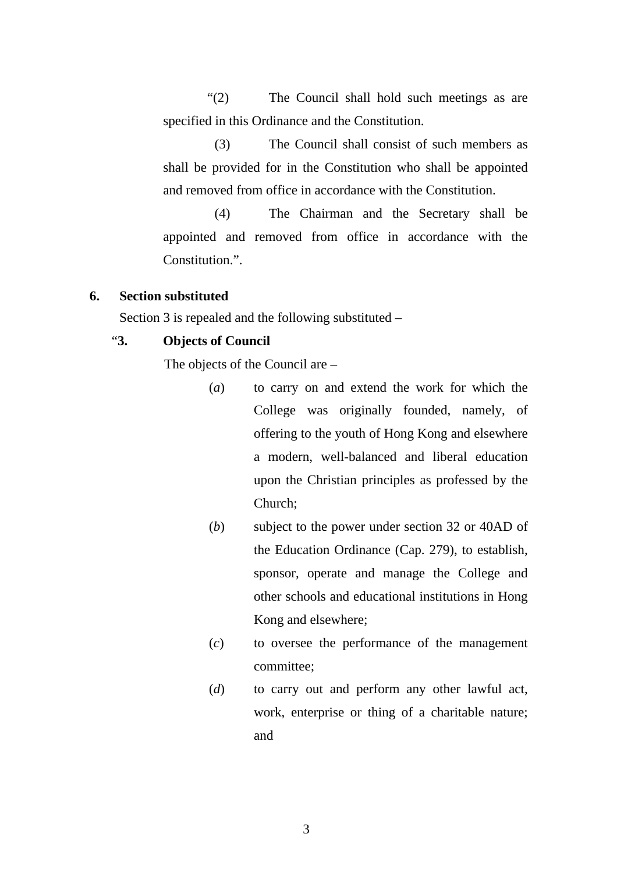"(2) The Council shall hold such meetings as are specified in this Ordinance and the Constitution.

 (3) The Council shall consist of such members as shall be provided for in the Constitution who shall be appointed and removed from office in accordance with the Constitution.

 (4) The Chairman and the Secretary shall be appointed and removed from office in accordance with the Constitution<sup>"</sup>

### **6. Section substituted**

Section 3 is repealed and the following substituted –

### "**3. Objects of Council**

The objects of the Council are –

- (*a*) to carry on and extend the work for which the College was originally founded, namely, of offering to the youth of Hong Kong and elsewhere a modern, well-balanced and liberal education upon the Christian principles as professed by the Church;
- (*b*) subject to the power under section 32 or 40AD of the Education Ordinance (Cap. 279), to establish, sponsor, operate and manage the College and other schools and educational institutions in Hong Kong and elsewhere;
- (*c*) to oversee the performance of the management committee;
- (*d*) to carry out and perform any other lawful act, work, enterprise or thing of a charitable nature; and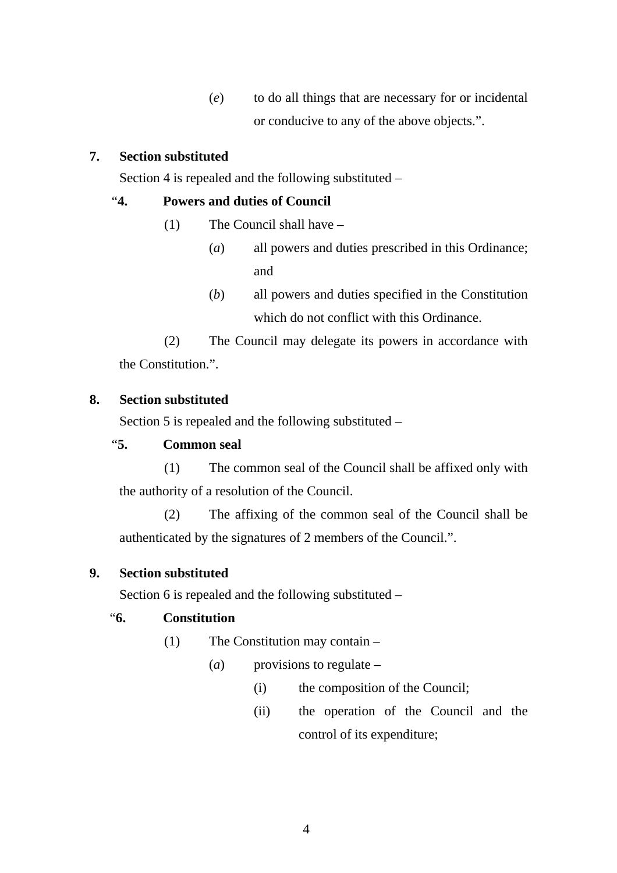(*e*) to do all things that are necessary for or incidental or conducive to any of the above objects.".

## **7. Section substituted**

Section 4 is repealed and the following substituted –

## "**4. Powers and duties of Council**

- (1) The Council shall have
	- (*a*) all powers and duties prescribed in this Ordinance; and
	- (*b*) all powers and duties specified in the Constitution which do not conflict with this Ordinance.

(2) The Council may delegate its powers in accordance with the Constitution.".

## **8. Section substituted**

Section 5 is repealed and the following substituted –

## "**5. Common seal**

(1) The common seal of the Council shall be affixed only with the authority of a resolution of the Council.

(2) The affixing of the common seal of the Council shall be authenticated by the signatures of 2 members of the Council.".

## **9. Section substituted**

Section 6 is repealed and the following substituted –

# "**6. Constitution**

- (1) The Constitution may contain
	- (*a*) provisions to regulate
		- (i) the composition of the Council;
		- (ii) the operation of the Council and the control of its expenditure;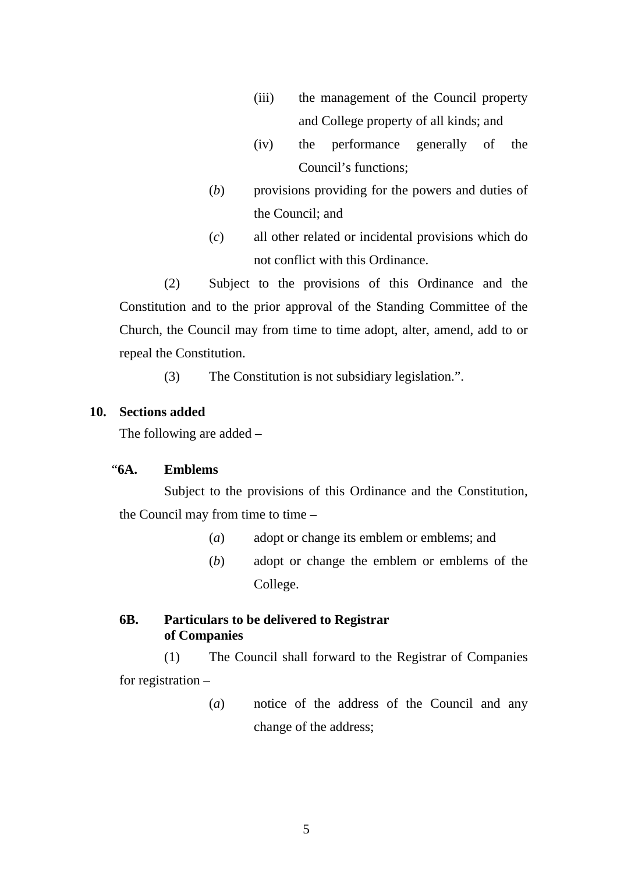- (iii) the management of the Council property and College property of all kinds; and
- (iv) the performance generally of the Council's functions;
- (*b*) provisions providing for the powers and duties of the Council; and
- (*c*) all other related or incidental provisions which do not conflict with this Ordinance.

(2) Subject to the provisions of this Ordinance and the Constitution and to the prior approval of the Standing Committee of the Church, the Council may from time to time adopt, alter, amend, add to or repeal the Constitution.

(3) The Constitution is not subsidiary legislation.".

### **10. Sections added**

The following are added –

## "**6A. Emblems**

Subject to the provisions of this Ordinance and the Constitution, the Council may from time to time  $-$ 

- (*a*) adopt or change its emblem or emblems; and
- (*b*) adopt or change the emblem or emblems of the College.

## **6B. Particulars to be delivered to Registrar of Companies**

(1) The Council shall forward to the Registrar of Companies for registration –

> (*a*) notice of the address of the Council and any change of the address;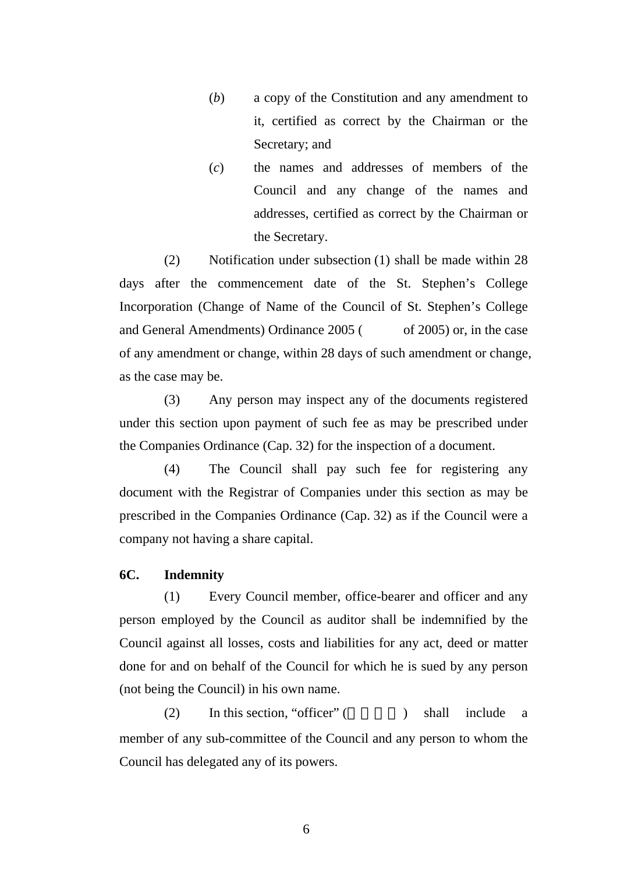- (*b*) a copy of the Constitution and any amendment to it, certified as correct by the Chairman or the Secretary; and
- (*c*) the names and addresses of members of the Council and any change of the names and addresses, certified as correct by the Chairman or the Secretary.

(2) Notification under subsection (1) shall be made within 28 days after the commencement date of the St. Stephen's College Incorporation (Change of Name of the Council of St. Stephen's College and General Amendments) Ordinance 2005 (original of 2005) or, in the case of any amendment or change, within 28 days of such amendment or change, as the case may be.

(3) Any person may inspect any of the documents registered under this section upon payment of such fee as may be prescribed under the Companies Ordinance (Cap. 32) for the inspection of a document.

(4) The Council shall pay such fee for registering any document with the Registrar of Companies under this section as may be prescribed in the Companies Ordinance (Cap. 32) as if the Council were a company not having a share capital.

### **6C. Indemnity**

(1) Every Council member, office-bearer and officer and any person employed by the Council as auditor shall be indemnified by the Council against all losses, costs and liabilities for any act, deed or matter done for and on behalf of the Council for which he is sued by any person (not being the Council) in his own name.

(2) In this section, "officer" ( $\Box$ ) shall include a member of any sub-committee of the Council and any person to whom the Council has delegated any of its powers.

6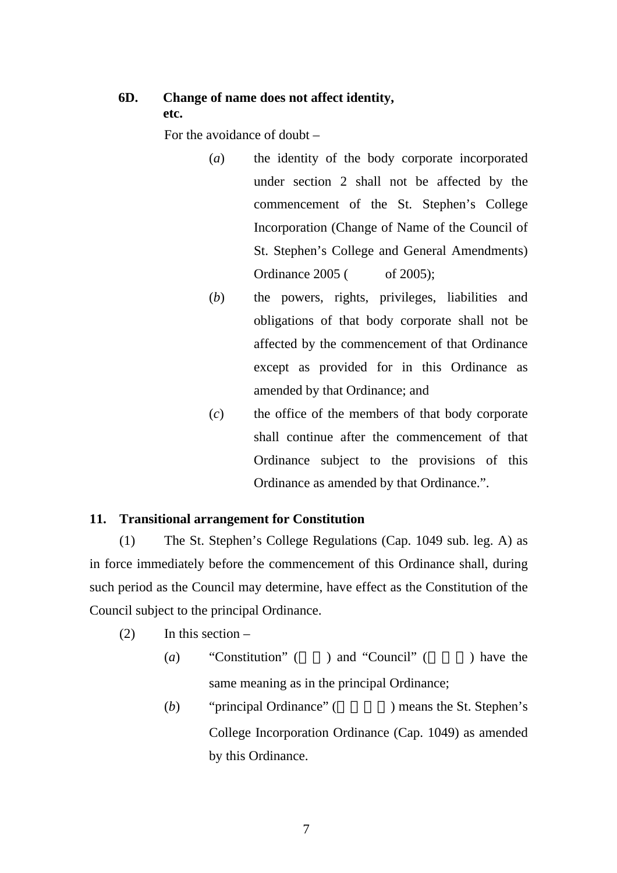## **6D. Change of name does not affect identity, etc.**

For the avoidance of doubt –

- (*a*) the identity of the body corporate incorporated under section 2 shall not be affected by the commencement of the St. Stephen's College Incorporation (Change of Name of the Council of St. Stephen's College and General Amendments) Ordinance 2005 ( of 2005);
- (*b*) the powers, rights, privileges, liabilities and obligations of that body corporate shall not be affected by the commencement of that Ordinance except as provided for in this Ordinance as amended by that Ordinance; and
- (*c*) the office of the members of that body corporate shall continue after the commencement of that Ordinance subject to the provisions of this Ordinance as amended by that Ordinance.".

### **11. Transitional arrangement for Constitution**

(1) The St. Stephen's College Regulations (Cap. 1049 sub. leg. A) as in force immediately before the commencement of this Ordinance shall, during such period as the Council may determine, have effect as the Constitution of the Council subject to the principal Ordinance.

 $(2)$  In this section –

- (*a*) "Constitution" ( $\blacksquare$ ) and "Council" ( $\blacksquare$ ) have the same meaning as in the principal Ordinance;
- (*b*) "principal Ordinance" ( a separate in the St. Stephen's College Incorporation Ordinance (Cap. 1049) as amended by this Ordinance.